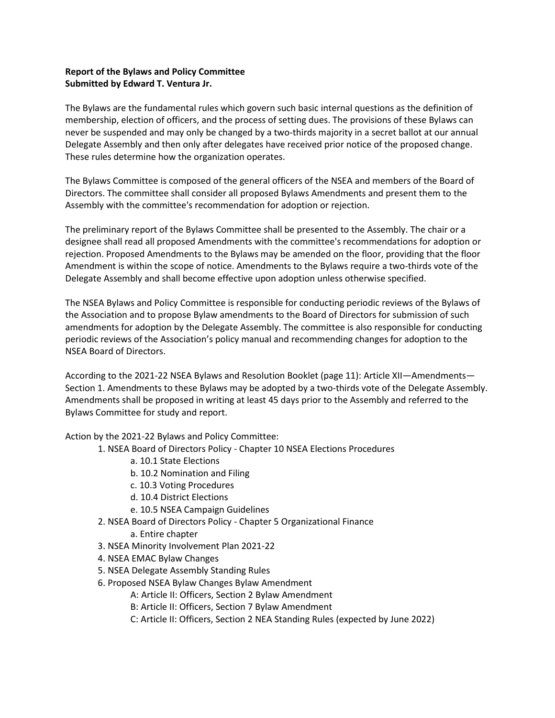## **Report of the Bylaws and Policy Committee Submitted by Edward T. Ventura Jr.**

The Bylaws are the fundamental rules which govern such basic internal questions as the definition of membership, election of officers, and the process of setting dues. The provisions of these Bylaws can never be suspended and may only be changed by a two-thirds majority in a secret ballot at our annual Delegate Assembly and then only after delegates have received prior notice of the proposed change. These rules determine how the organization operates.

The Bylaws Committee is composed of the general officers of the NSEA and members of the Board of Directors. The committee shall consider all proposed Bylaws Amendments and present them to the Assembly with the committee's recommendation for adoption or rejection.

The preliminary report of the Bylaws Committee shall be presented to the Assembly. The chair or a designee shall read all proposed Amendments with the committee's recommendations for adoption or rejection. Proposed Amendments to the Bylaws may be amended on the floor, providing that the floor Amendment is within the scope of notice. Amendments to the Bylaws require a two-thirds vote of the Delegate Assembly and shall become effective upon adoption unless otherwise specified.

The NSEA Bylaws and Policy Committee is responsible for conducting periodic reviews of the Bylaws of the Association and to propose Bylaw amendments to the Board of Directors for submission of such amendments for adoption by the Delegate Assembly. The committee is also responsible for conducting periodic reviews of the Association's policy manual and recommending changes for adoption to the NSEA Board of Directors.

According to the 2021-22 NSEA Bylaws and Resolution Booklet (page 11): Article XII—Amendments— Section 1. Amendments to these Bylaws may be adopted by a two-thirds vote of the Delegate Assembly. Amendments shall be proposed in writing at least 45 days prior to the Assembly and referred to the Bylaws Committee for study and report.

Action by the 2021-22 Bylaws and Policy Committee:

- 1. NSEA Board of Directors Policy Chapter 10 NSEA Elections Procedures
	- a. 10.1 State Elections
	- b. 10.2 Nomination and Filing
	- c. 10.3 Voting Procedures
	- d. 10.4 District Elections
	- e. 10.5 NSEA Campaign Guidelines
- 2. NSEA Board of Directors Policy Chapter 5 Organizational Finance
	- a. Entire chapter
- 3. NSEA Minority Involvement Plan 2021-22
- 4. NSEA EMAC Bylaw Changes
- 5. NSEA Delegate Assembly Standing Rules
- 6. Proposed NSEA Bylaw Changes Bylaw Amendment

A: Article II: Officers, Section 2 Bylaw Amendment

- B: Article II: Officers, Section 7 Bylaw Amendment
- C: Article II: Officers, Section 2 NEA Standing Rules (expected by June 2022)